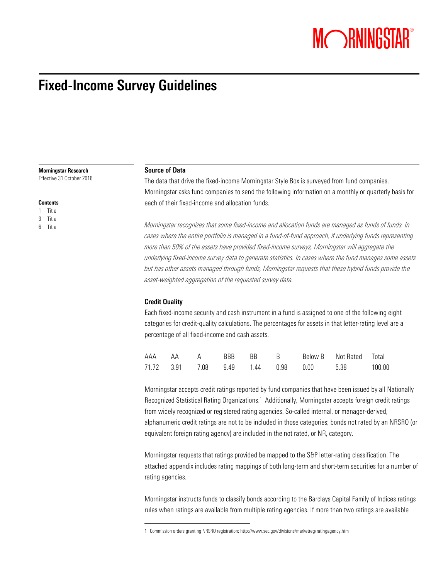# MORNINGSTAR®

# **Fixed-Income Survey Guidelines**

**Morningstar Research**

Effective 31 October 2016

#### **Contents**

1 Title

3 Title

6 Title

#### **Source of Data**

The data that drive the fixed-income Morningstar Style Box is surveyed from fund companies. Morningstar asks fund companies to send the following information on a monthly or quarterly basis for each of their fixed-income and allocation funds.

*Morningstar recognizes that some fixed-income and allocation funds are managed as funds of funds. In*  cases where the entire portfolio is managed in a fund-of-fund approach, if underlying funds representing *more than 50% of the assets have provided fixed-income surveys, Morningstar will aggregate the underlying fixed-income survey data to generate statistics. In cases where the fund manages some assets but has other assets managed through funds, Morningstar requests that these hybrid funds provide the asset-weighted aggregation of the requested survey data.* 

# **Credit Quality**

 $\overline{a}$ 

Each fixed-income security and cash instrument in a fund is assigned to one of the following eight categories for credit-quality calculations. The percentages for assets in that letter-rating level are a percentage of all fixed-income and cash assets.

|  |  |  | AAA AA A BBB BB B Below B Not Rated Total               |  |
|--|--|--|---------------------------------------------------------|--|
|  |  |  | 71.72  3.91  7.08  9.49  1.44  0.98  0.00  5.38  100.00 |  |

Morningstar accepts credit ratings reported by fund companies that have been issued by all Nationally Recognized Statistical Rating Organizations.<sup>1</sup> Additionally, Morningstar accepts foreign credit ratings from widely recognized or registered rating agencies. So-called internal, or manager-derived, alphanumeric credit ratings are not to be included in those categories; bonds not rated by an NRSRO (or equivalent foreign rating agency) are included in the not rated, or NR, category.

Morningstar requests that ratings provided be mapped to the S&P letter-rating classification. The attached appendix includes rating mappings of both long-term and short-term securities for a number of rating agencies.

Morningstar instructs funds to classify bonds according to the Barclays Capital Family of Indices ratings rules when ratings are available from multiple rating agencies. If more than two ratings are available

<sup>1</sup> Commission orders granting NRSRO registration: http://www.sec.gov/divisions/marketreg/ratingagency.htm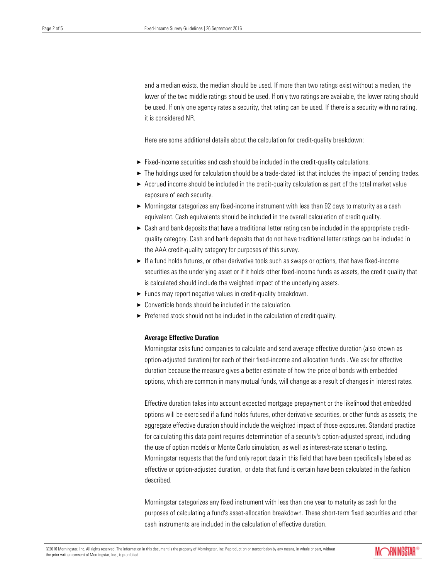and a median exists, the median should be used. If more than two ratings exist without a median, the lower of the two middle ratings should be used. If only two ratings are available, the lower rating should be used. If only one agency rates a security, that rating can be used. If there is a security with no rating, it is considered NR.

Here are some additional details about the calculation for credit-quality breakdown:

- $\blacktriangleright$  Fixed-income securities and cash should be included in the credit-quality calculations.
- $\blacktriangleright$  The holdings used for calculation should be a trade-dated list that includes the impact of pending trades.
- $\triangleright$  Accrued income should be included in the credit-quality calculation as part of the total market value exposure of each security.
- $\triangleright$  Morningstar categorizes any fixed-income instrument with less than 92 days to maturity as a cash equivalent. Cash equivalents should be included in the overall calculation of credit quality.
- $\triangleright$  Cash and bank deposits that have a traditional letter rating can be included in the appropriate creditquality category. Cash and bank deposits that do not have traditional letter ratings can be included in the AAA credit-quality category for purposes of this survey.
- ► If a fund holds futures, or other derivative tools such as swaps or options, that have fixed-income securities as the underlying asset or if it holds other fixed-income funds as assets, the credit quality that is calculated should include the weighted impact of the underlying assets.
- $\blacktriangleright$  Funds may report negative values in credit-quality breakdown.
- $\triangleright$  Convertible bonds should be included in the calculation.
- $\blacktriangleright$  Preferred stock should not be included in the calculation of credit quality.

#### **Average Effective Duration**

Morningstar asks fund companies to calculate and send average effective duration (also known as option-adjusted duration) for each of their fixed-income and allocation funds . We ask for effective duration because the measure gives a better estimate of how the price of bonds with embedded options, which are common in many mutual funds, will change as a result of changes in interest rates.

Effective duration takes into account expected mortgage prepayment or the likelihood that embedded options will be exercised if a fund holds futures, other derivative securities, or other funds as assets; the aggregate effective duration should include the weighted impact of those exposures. Standard practice for calculating this data point requires determination of a security's option-adjusted spread, including the use of option models or Monte Carlo simulation, as well as interest-rate scenario testing. Morningstar requests that the fund only report data in this field that have been specifically labeled as effective or option-adjusted duration, or data that fund is certain have been calculated in the fashion described.

Morningstar categorizes any fixed instrument with less than one year to maturity as cash for the purposes of calculating a fund's asset-allocation breakdown. These short-term fixed securities and other cash instruments are included in the calculation of effective duration.

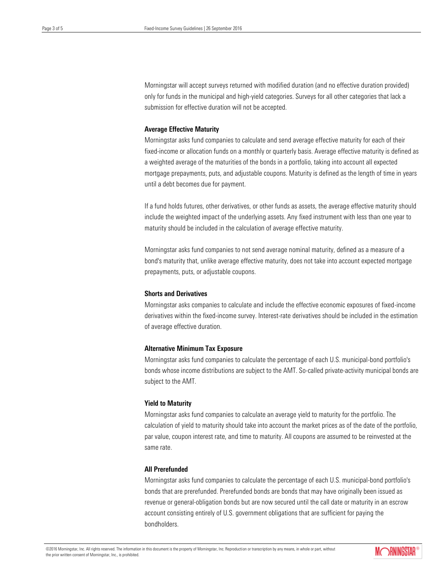Morningstar will accept surveys returned with modified duration (and no effective duration provided) only for funds in the municipal and high-yield categories. Surveys for all other categories that lack a submission for effective duration will not be accepted.

#### **Average Effective Maturity**

Morningstar asks fund companies to calculate and send average effective maturity for each of their fixed-income or allocation funds on a monthly or quarterly basis. Average effective maturity is defined as a weighted average of the maturities of the bonds in a portfolio, taking into account all expected mortgage prepayments, puts, and adjustable coupons. Maturity is defined as the length of time in years until a debt becomes due for payment.

If a fund holds futures, other derivatives, or other funds as assets, the average effective maturity should include the weighted impact of the underlying assets. Any fixed instrument with less than one year to maturity should be included in the calculation of average effective maturity.

Morningstar asks fund companies to not send average nominal maturity, defined as a measure of a bond's maturity that, unlike average effective maturity, does not take into account expected mortgage prepayments, puts, or adjustable coupons.

# **Shorts and Derivatives**

Morningstar asks companies to calculate and include the effective economic exposures of fixed-income derivatives within the fixed-income survey. Interest-rate derivatives should be included in the estimation of average effective duration.

#### **Alternative Minimum Tax Exposure**

Morningstar asks fund companies to calculate the percentage of each U.S. municipal-bond portfolio's bonds whose income distributions are subject to the AMT. So-called private-activity municipal bonds are subject to the AMT.

#### **Yield to Maturity**

Morningstar asks fund companies to calculate an average yield to maturity for the portfolio. The calculation of yield to maturity should take into account the market prices as of the date of the portfolio, par value, coupon interest rate, and time to maturity. All coupons are assumed to be reinvested at the same rate.

#### **All Prerefunded**

Morningstar asks fund companies to calculate the percentage of each U.S. municipal-bond portfolio's bonds that are prerefunded. Prerefunded bonds are bonds that may have originally been issued as revenue or general-obligation bonds but are now secured until the call date or maturity in an escrow account consisting entirely of U.S. government obligations that are sufficient for paying the bondholders.

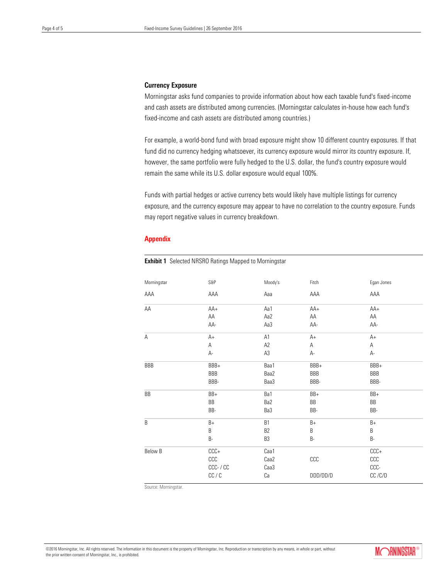### **Currency Exposure**

Morningstar asks fund companies to provide information about how each taxable fund's fixed-income and cash assets are distributed among currencies. (Morningstar calculates in-house how each fund's fixed-income and cash assets are distributed among countries.)

For example, a world-bond fund with broad exposure might show 10 different country exposures. If that fund did no currency hedging whatsoever, its currency exposure would mirror its country exposure. If, however, the same portfolio were fully hedged to the U.S. dollar, the fund's country exposure would remain the same while its U.S. dollar exposure would equal 100%.

Funds with partial hedges or active currency bets would likely have multiple listings for currency exposure, and the currency exposure may appear to have no correlation to the country exposure. Funds may report negative values in currency breakdown.

#### **Appendix**

**Exhibit 1** Selected NRSRO Ratings Mapped to Morningstar

| Morningstar | S&P           | Moody's        | Fitch    | Egan Jones |
|-------------|---------------|----------------|----------|------------|
| AAA         | AAA           | Aaa            | AAA      | AAA        |
| AA          | AA+           | Aa1            | $AA+$    | AA+        |
|             | $\mathsf{AA}$ | Aa2            | ΑА       | ${\sf AA}$ |
|             | AA-           | Aa3            | AA-      | AA-        |
| A           | $A+$          | A1             | $A+$     | $A+$       |
|             | Α             | A2             | А        | А          |
|             | А-            | $\mathsf{A}3$  | А-       | А-         |
| BBB         | BBB+          | Baa1           | BBB+     | BBB+       |
|             | BBB           | Baa2           | BBB      | BBB        |
|             | BBB-          | Baa3           | BBB-     | BBB-       |
| BB          | BB+           | Ba1            | BB+      | BB+        |
|             | BB            | Ba2            | BB       | BB         |
|             | BB-           | Ba3            | BB-      | BB-        |
| B           | $B+$          | <b>B1</b>      | $B+$     | $B+$       |
|             | B             | B <sub>2</sub> | B        | B          |
|             | B-            | B <sub>3</sub> | B-       | B-         |
| Below B     | $CCC +$       | Caa1           |          | $CCC +$    |
|             | CCC           | Caa2           | CCC      | CCC        |
|             | CCC- / CC     | Caa3           |          | CCC-       |
|             | CC / C        | Ca             | DDD/DD/D | CC/C/D     |

Source: Morningstar.

©2016 Morningstar, Inc. All rights reserved. The information in this document is the property of Morningstar, Inc. Reproduction or transcription by any means, in whole or part, without the prior written consent of Morningstar, Inc., is prohibited.